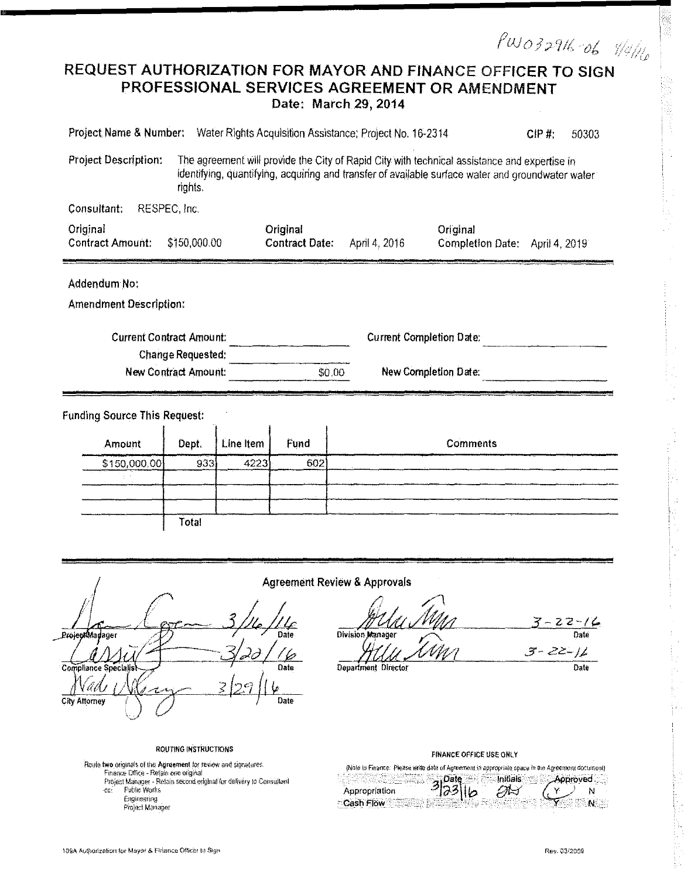|                                                                                                                                     | $\rho$ wozani ob 1/4/10 |       |  |
|-------------------------------------------------------------------------------------------------------------------------------------|-------------------------|-------|--|
| REQUEST AUTHORIZATION FOR MAYOR AND FINANCE OFFICER TO SIGN<br>PROFESSIONAL SERVICES AGREEMENT OR AMENDMENT<br>Date: March 29, 2014 |                         |       |  |
| Project Name & Number: Water Rights Acquisition Assistance; Project No. 16-2314                                                     | CIP#                    | 50303 |  |

**Project Description:** The agreement will provide the City of Rapid City with technical assistance and expertise in identifying, quantifying, acquiring and transfer of available surface water and groundwater water rights.

| Consultant:<br>RESPEC. Inc.                         |                                   |                                 |                                     |               |  |
|-----------------------------------------------------|-----------------------------------|---------------------------------|-------------------------------------|---------------|--|
| Original<br>\$150,000.00<br><b>Contract Amount:</b> | Original<br><b>Contract Date.</b> | April 4, 2016                   | Original<br><b>Completion Date:</b> | April 4, 2019 |  |
| Addendum No:                                        |                                   |                                 |                                     |               |  |
| Amendment Description:                              |                                   |                                 |                                     |               |  |
| <b>Current Contract Amount:</b>                     |                                   | <b>Current Completion Date:</b> |                                     |               |  |
| <b>Change Requested:</b>                            |                                   |                                 |                                     |               |  |

\$0.00

**New Contract Amount:** 

New Completion Date:

**Funding Source This Request:** 

| Amount       | Dept. | Line Item | Fund | <b>Comments</b> |
|--------------|-------|-----------|------|-----------------|
| \$150,000.00 | 933   | 4223      | 602  |                 |
|              |       |           |      |                 |
|              |       |           |      |                 |
|              |       |           |      |                 |
|              | Total |           |      |                 |



Route two originals of the Agreement for review and signatures.<br>Finance Office - Retain one original<br>Project Manager - Retain second original for delivery to Consultant<br>co: Public Works

Engineering Project Mariager

| baois lo filibrice. Preise which data la agregation in Algacataig Space in the agregated occurred i |                          |                 |                 |         |
|-----------------------------------------------------------------------------------------------------|--------------------------|-----------------|-----------------|---------|
|                                                                                                     |                          | <b>allation</b> |                 |         |
|                                                                                                     | ∴ <sub>ni</sub> Date and |                 | <b>Approved</b> |         |
|                                                                                                     |                          |                 |                 |         |
| Appropriation                                                                                       | 2123116                  | DI S            |                 |         |
|                                                                                                     |                          |                 |                 |         |
|                                                                                                     |                          |                 |                 |         |
| - Cash Flow                                                                                         |                          |                 |                 | ™ NS 30 |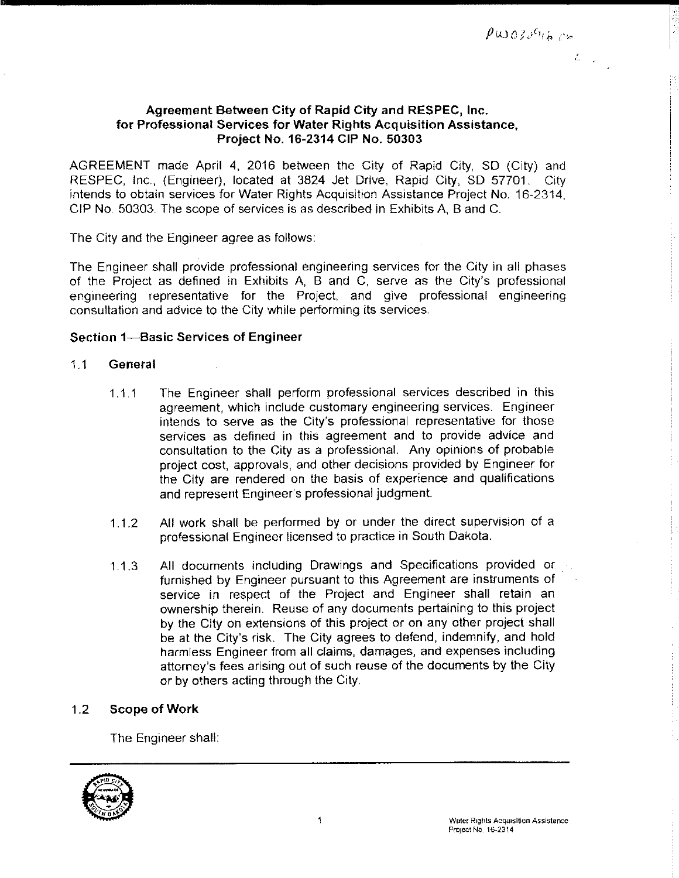$\label{eq:2} \begin{array}{cc} \mathcal{L}_{\text{max}} & \mathcal{L}_{\text{max}} \\ \mathcal{L}_{\text{max}} & \mathcal{L}_{\text{max}} \end{array}$ 

## Agreement Between City of Rapid City and RESPEC, Inc. for Professional Services for Water Rights Acquisition Assistance, Project No. 16-2314 CIP No. 50303

AGREEMENT made April 4, 2016 between the City of Rapid City, SD (City) and RESPEC, Inc, (Engineer), located at 3824 Jet Drive, Rapid City, SD 57701. City intends to obtain services for Water Rights Acquisition Assistance Project No. 16·2314, CIP No. 50303. The scope of services is as described in Exhibits A, Band C.

The City and the Engineer agree as follows:

The Engineer shall provide professional engineering services for the City in all phases of the Project as defined in Exhibits A, B and C, serve as the City's professional engineering representative for the Project, and give professional engineering consultation and advice to the City while performing its services.

### Section 1-Basic Services of Engineer

#### 1.1 General

- 1. 1. 1 The Engineer shall perform professional services described in this agreement, which include customary engineering services. Engineer intends to serve as the City's professional representative for those services as defined in this agreement and to provide advice and consultation to the City as a professional. Any opinions of probable project cost, approvals, and other decisions provided by Engineer for the City are rendered on the basis of experience and qualifications and represent Engineer's professional judgment
- 1. 1.2 All work shall be performed by or under the direct supervision of a professional Engineer licensed to practice in South Dakota.
- 1.1.3 All documents including Drawings and Specifications provided or furnished by Engineer pursuant to this Agreement are instruments of service in respect of the Project and Engineer shall retain an ownership therein. Reuse of any documents pertaining to this project by the City on extensions of this project or on any other project shall be at the City's risk. The City agrees to defend, indemnify, and hold harmless Engineer from all claims, damages, and expenses including attorney's fees arising out of such reuse of the documents by the City or by others acting through the City.

### 1.2 Scope of Work

The Engineer shall:

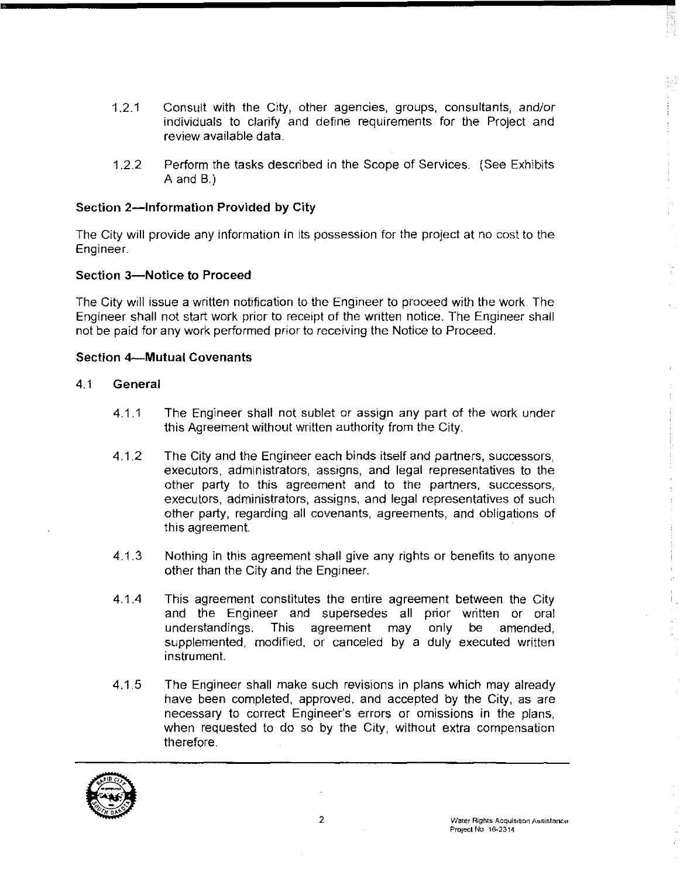- 1.2.1 Consult with the City, other agencies, groups, consultants, and/or individuals to clarify and define requirements for the Project and review available data.
- 1.2.2 Perform the tasks described in the Scope of Services. (See Exhibits A and B.)

## **Section 2-lnformation Provided by City**

The City will provide any information in its possession for the project at no cost to the Engineer.

### **Section 3-Notice to Proceed**

The City will issue a written notification to the Engineer to proceed with the work. The Engineer shall not start work prior to receipt of the written notice. The Engineer shall not be paid for any work performed prior to receiving the Notice to Proceed.

### **Section 4-Mutual Covenants**

### 4.1 **General**

- 4.1.1 The Engineer shall not sublet or assign any part of the work under this Agreement without written authority from the City.
- 4.1.2 The City and the Engineer each binds itself and partners, successors, executors, administrators, assigns, and legal representatives to the other party to this agreement and to the partners, successors, executors, administrators, assigns, and legal representatives of such other party, regarding all covenants, agreements, and obligations of this agreement.
- 4.1.3 Nothing in this agreement shall give any rights or benefits to anyone other than the City and the Engineer.
- 4.1.4 This agreement constitutes the entire agreement between the City and the Engineer and supersedes all prior written or oral understandings. This agreement may only be amended, supplemented, modified, or canceled by a duly executed written instrument.
- 4.1.5 The Engineer shall make such revisions in plans which may already have been completed, approved, and accepted by the City, as are necessary to correct Engineer's errors or omissions in the plans, when requested to do so by the City, without extra compensation therefore.

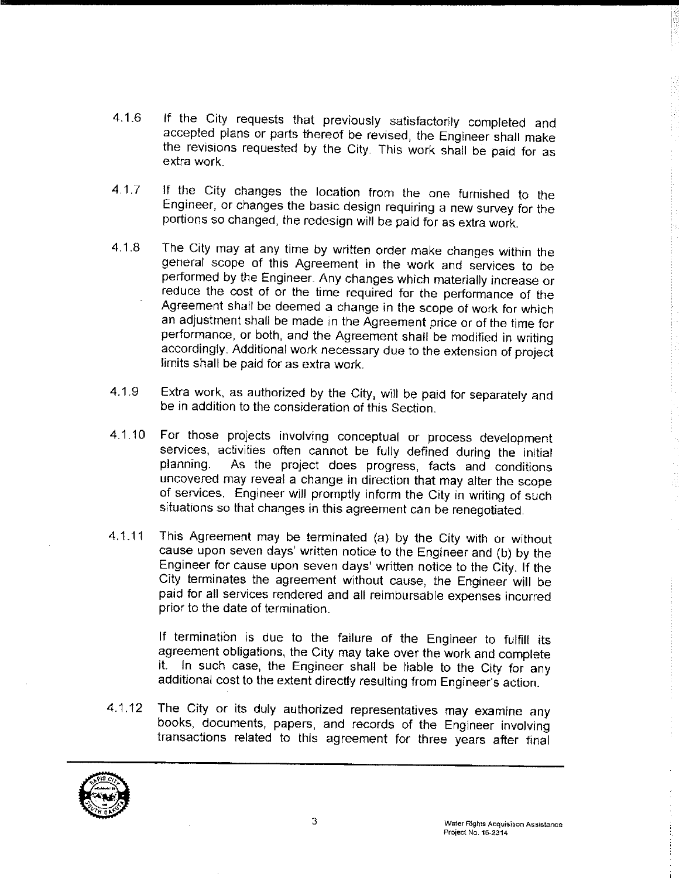- 4. 1.6 If the City requests that previously satisfactorily completed and accepted plans or parts thereof be revised, the Engineer shall make the revisions requested by the City. This work shall be paid for as extra work.
- 4.1.7 If the City changes the location from the one furnished to the Engineer, or changes the basic design requiring a new survey for the portions so changed, the redesign will be paid for as extra work.
- 4. 1.8 The City may at any time by written order make changes within the general scope of this Agreement in the work and services to be performed by the Engineer. Any changes which materially increase or reduce the cost of or the time required for the performance of the Agreement shall be deemed a change in the scope of work for which an adjustment shall be made in the Agreement price or of the time for performance, or both, and the Agreement shall be modified in writing accordingly. Additional work necessary due to the extension of project limits shall be paid for as extra work.
- 4. 1.9 Extra work, as authorized by the City, will be paid for separately and be in addition to the consideration of this Section.
- 4.1.10 For those projects involving conceptual or process development services, activities often cannot be fully defined during the initial planning. As the project does progress, facts and conditions uncovered may reveal a change in direction that may alter the scope of services. Engineer will promptly inform the City in writing of such situations so that changes in this agreement can be renegotiated.
- 4. 1.11 This Agreement may be terminated (a) by the City with or without cause upon seven days' written notice to the Engineer and (b) by the Engineer for cause upon seven days' written notice to the City. If the City terminates the agreement without cause, the Engineer will be paid for all services rendered and all reimbursable expenses incurred prior to the date of termination.

If termination is due to the failure of the Engineer to fulfill its agreement obligations, the City may take over the work and complete it. In such case, the Engineer shall be liable to the City for any additional cost to the extent directly resulting from Engineer's action.

4.1.12 The City or its duly authorized representatives may examine any books, documents, papers, and records of the Engineer involving transactions related to this agreement for three years after final



I lä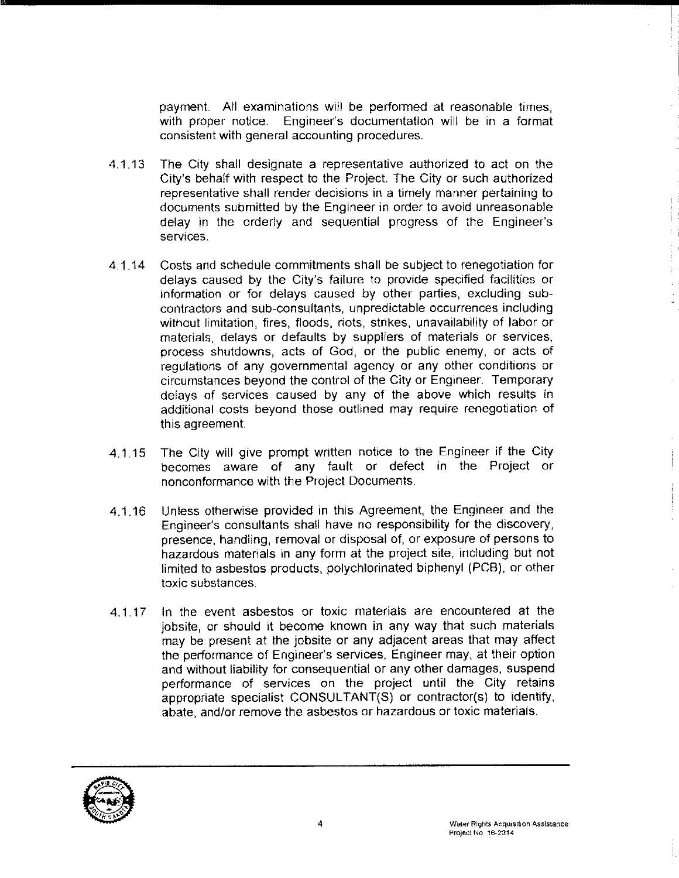payment. All examinations will be performed at reasonable times, with proper notice. Engineer's documentation will be in a format consistent with general accounting procedures.

- 4.1.13 The City shall designate a representative authorized to act on the City's behalf with respect to the Project. The City or such authorized representative shall render decisions in a timely manner pertaining to documents submitted by the Engineer in order to avoid unreasonable delay in the orderly and sequential progress of the Engineer's services.
- 4.1.14 Costs and schedule commitments shall be subject to renegotiation for delays caused by the City's failure to provide specified facilities or information or for delays caused by other parties, excluding subcontractors and sub-consultants, unpredictable occurrences including without limitation, fires, floods, riots, strikes, unavailability of labor or materials, delays or defaults by suppliers of materials or services, process shutdowns, acts of God, or the public enemy, or acts of regulations of any governmental agency or any other conditions or circumstances beyond the control of the City or Engineer. Temporary delays of services caused by any of the above which results in additional costs beyond those outlined may require renegotiation of this agreement.
- 4.1.15 The City will give prompt written notice to the Engineer if the City becomes aware of any fault or defect in the Project or nonconformance with the Project Documents.
- 4.1.16 Unless otherwise provided in this Agreement, the Engineer and the Engineer's consultants shall have no responsibility for the discovery, presence, handling, removal or disposal of, or exposure of persons to hazardous materials in any form at the project site, including but not limited to asbestos products, polychlorinated biphenyl (PCB), or other toxic substances.
- 4.1.17 In the event asbestos or toxic materials are encountered at the jobsite, or should it become known in any way that such materials may be present at the jobsite or any adjacent areas that may affect the performance of Engineer's services, Engineer may, at their option and without liability for consequential or any other damages, suspend performance of services on the project until the City retains appropriate specialist CONSUL TANT(S) or contractor(s) to identify, abate, and/or remove the asbestos or hazardous or toxic materials.

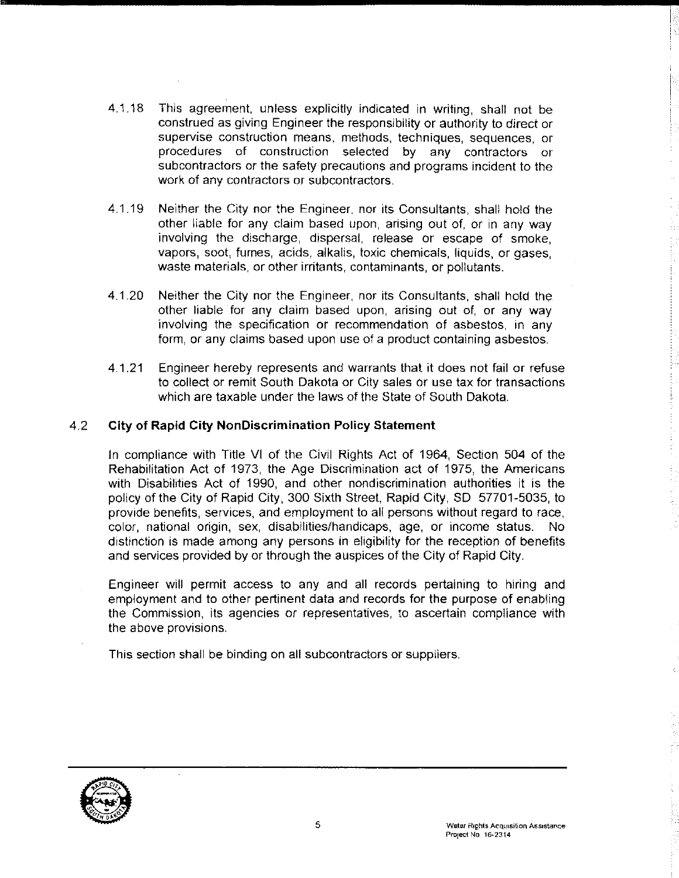- 4.1.18 This agreement, unless explicitly indicated in writing, shall not be construed as giving Engineer the responsibility or authority to direct or supervise construction means, methods, techniques, sequences, or procedures of construction selected by any contractors or subcontractors or the safety precautions and programs incident to the work of any contractors or subcontractors.
- 4.1 .19 Neither the City nor the Engineer. nor its Consultants, shall hold the other liable for any claim based upon, arising out of, or in any way involving the discharge, dispersal, release or escape of smoke, vapors, soot, fumes, acids, alkalis, toxic chemicals, liquids, or gases, waste materials, or other irritants, contaminants, or pollutants.
- 4.1.20 Neither the City nor the Engineer, nor its Consultants, shall hold the other liable for any claim based upon, arising out of, or any way involving the specification or recommendation of asbestos, in any form, or any claims based upon use of a product containing asbestos.
- 4.1.21 Engineer hereby represents and warrants that it does not fail or refuse to collect or remit South Dakota or City sales or use tax for transactions which are taxable under the laws of the State of South Dakota.

## 4.2 **City of Rapid City NonDiscrimination Policy Statement**

In compliance with Title VI of the Civil Rights Act of 1964, Section 504 of the Rehabilitation Act of 1973, the Age Discrimination act of 1975, the Americans with Disabilities Act of 1990, and other nondiscrimination authorities it is the policy of the City of Rapid City, 300 Sixth Street, Rapid City, SD 57701-5035, to provide benefits, services, and employment to all persons without regard to race, color, national origin, sex, disabilities/handicaps, age, or income status. No distinction is made among any persons in eligibility for the reception of benefits and services provided by or through the auspices of the City of Rapid City.

Engineer will permit access to any and all records pertaining to hiring and employment and to other pertinent data and records for the purpose of enabling the Commission, its agencies or representatives, to ascertain compliance with the above provisions.

This section shall be binding on all subcontractors or suppliers.

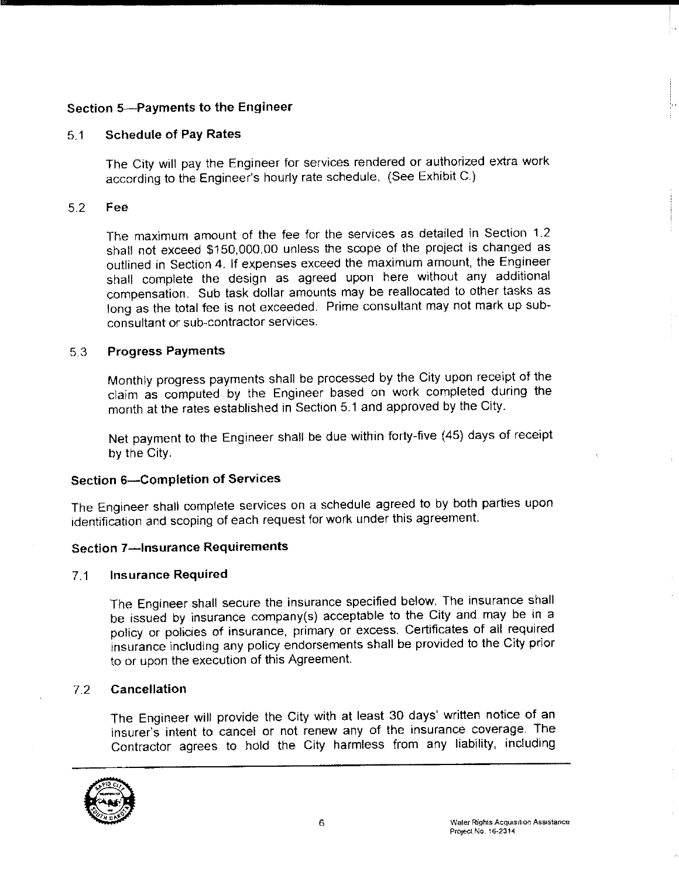## Section 5-Payments to the Engineer

## 5.1 Schedule of Pay Rates

The City will pay the Engineer for services rendered or authorized extra work according to the Engineer's hourly rate schedule. (See Exhibit C.)

## 5.2 Fee

The maximum amount of the fee for the services as detailed in Section 1.2 shall not exceed \$150,000.00 unless the scope of the project is changed as outlined in Section 4. If expenses exceed the maximum amount, the Engineer shall complete the design as agreed upon here without any additional compensation. Sub task dollar amounts may be reallocated to other tasks as long as the total fee is not exceeded. Prime consultant may not mark up subconsultant or sub-contractor services.

## 5.3 Progress Payments

Monthly progress payments shall be processed by the City upon receipt of the claim as computed by the Engineer based on work completed during the month at the rates established in Section 5.1 and approved by the City.

Net payment to the Engineer shall be due within forty-five (45) days of receipt by the City.

## Section 6-Completion of Services

The Engineer shall complete services on a schedule agreed to by both parties upon identification and scoping of each request for work under this agreement.

## Section 7-Insurance Requirements

### 7.1 Insurance Required

The Engineer shall secure the insurance specified below. The insurance shall be issued by insurance company(s) acceptable to the City and may be in a policy or policies of insurance, primary or excess. Certificates of all required insurance including any policy endorsements shall be provided to the City prior to or upon the execution of this Agreement.

## 7.2 Cancellation

The Engineer will provide the City with at least 30 days' written notice of an insurer's intent to cancel or not renew any of the insurance coverage. The Contractor agrees to hold the City harmless from any liability, including

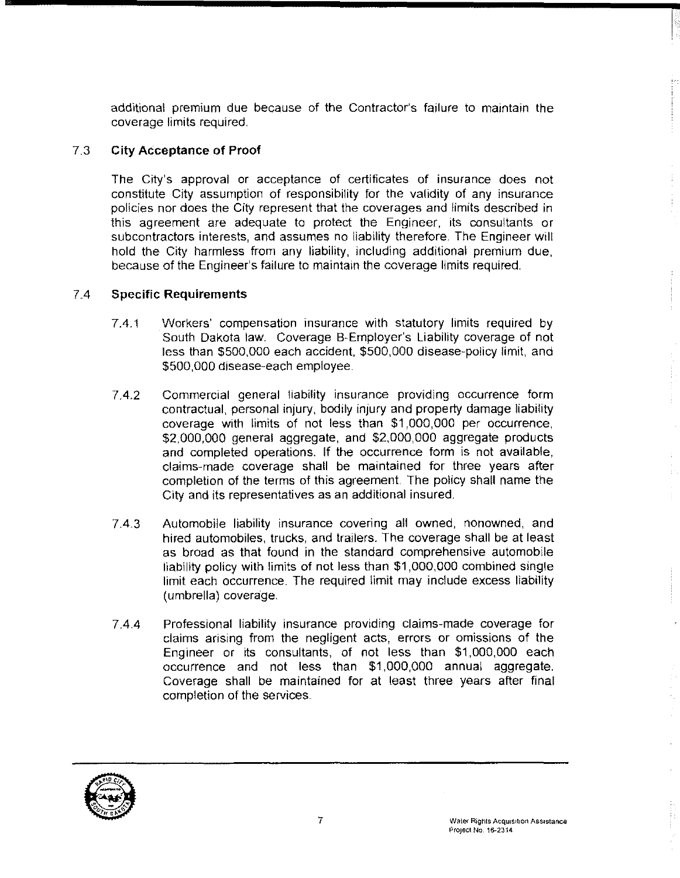additional premium due because of the Contractor's failure to maintain the coverage limits required.

## 7.3 **City Acceptance of Proof**

The City's approval or acceptance of certificates of insurance does not constitute City assumption of responsibility for the validity of any insurance policies nor does the City represent that the coverages and limits described in this agreement are adequate to protect the Engineer, its consultants or subcontractors interests, and assumes no liability therefore. The Engineer will hold the City harmless from any liability, including additional premium due, because of the Engineer's failure to maintain the coverage limits required.

## 7.4 **Specific Requirements**

- 7.4.1 Workers' compensation insurance with statutory limits required by South Dakota law. Coverage B-Employer's Liability coverage of not less than \$500,000 each accident, \$500,000 disease-policy limit, and \$500,000 disease-each employee.
- 7.4.2 Commercial general liability insurance providing occurrence form contractual, personal injury, bodily injury and property damage liability coverage with limits of not less than \$1,000,000 per occurrence. \$2,000,000 general aggregate, and \$2,000,000 aggregate products and completed operations. If the occurrence form is not available, claims-made coverage shall be maintained for three years after completion of the terms of this agreement. The policy shall name the City and its representatives as an additional insured.
- 7.4.3 Automobile liability insurance covering all owned, nonowned, and hired automobiles, trucks, and trailers. The coverage shall be at least as broad as that found in the standard comprehensive automobile liability policy with limits of not less than \$1,000,000 combined single limit each occurrence. The required limit may include excess liability (umbrella) coverage.
- 7.4.4 Professional liability insurance providing claims-made coverage for claims arising from the negligent acts, errors or omissions of the Engineer or its consultants, of not less than \$1,000,000 each occurrence and not less than \$1,000,000 annual aggregate. Coverage shall be maintained for at least three years after final completion of the services.

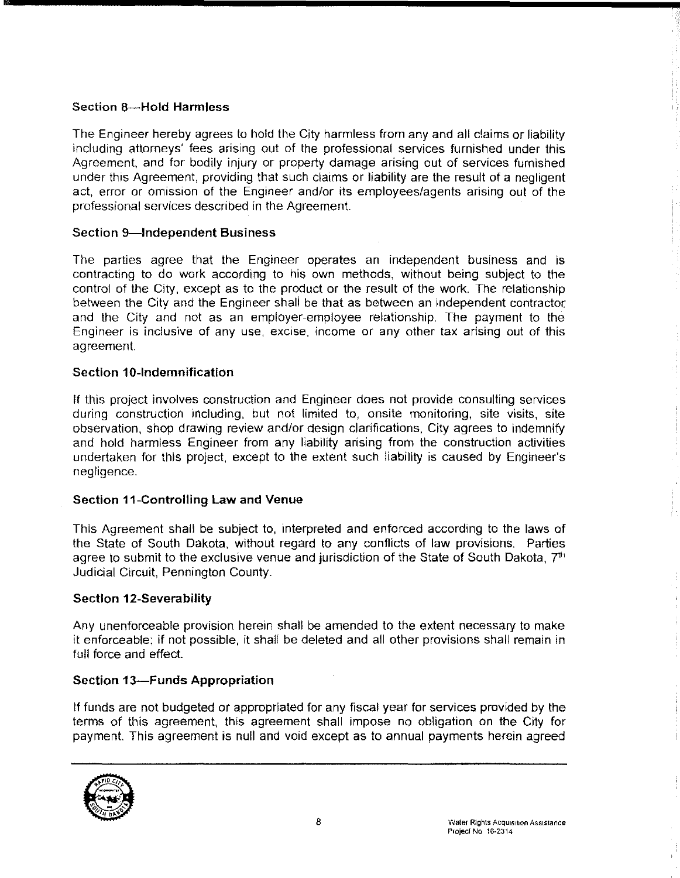## Section 8-Hold Harmless

The Engineer hereby agrees to hold the City harmless from any and all claims or liability including attorneys' fees arising out of the professional services furnished under this Agreement, and for bodily injury or property damage arising out of services furnished under this Agreement, providing that such claims or liability are the result of a negligent act, error or omission of the Engineer and/or its employees/agents arising out of the professional services described in the Agreement

## Section 9-Independent Business

The parties agree that the Engineer operates an independent business and is contracting to do work according to his own methods, without being subject to the control of the City, except as to the product or the result of the work. The relationship between the City and the Engineer shall be that as between an independent contractor and the City and not as an employer-employee relationship. The payment to the Engineer is inclusive of any use, excise, income or any other tax arising out of this agreement.

## Section 10-lndemnification

If this project involves construction and Engineer does not provide consulting services during construction including, but not limited to, onsite monitoring, site visits, site observation, shop drawing review and/or design clarifications, City agrees to indemnify and hold harmless Engineer from any liability arising from the construction activities undertaken for this project, except to the extent such liability is caused by Engineer's negligence.

## Section 11-Controlling Law and Venue

This Agreement shall be subject to, interpreted and enforced according to the laws of the State of South Dakota, without regard to any conflicts of law provisions. Parties agree to submit to the exclusive venue and jurisdiction of the State of South Dakota,  $7<sup>th</sup>$ Judicial Circuit, Pennington County.

## Section 12-Severability

Any unenforceable provision herein shall be amended to the extent necessary to make it enforceable; if not possible, it shall be deleted and all other provisions shall remain in full force and effect.

## Section 13-Funds Appropriation

If funds are not budgeted or appropriated for any fiscal year for services provided by the terms of this agreement, this agreement shall impose no obligation on the City for payment. This agreement is null and void except as to annual payments herein agreed

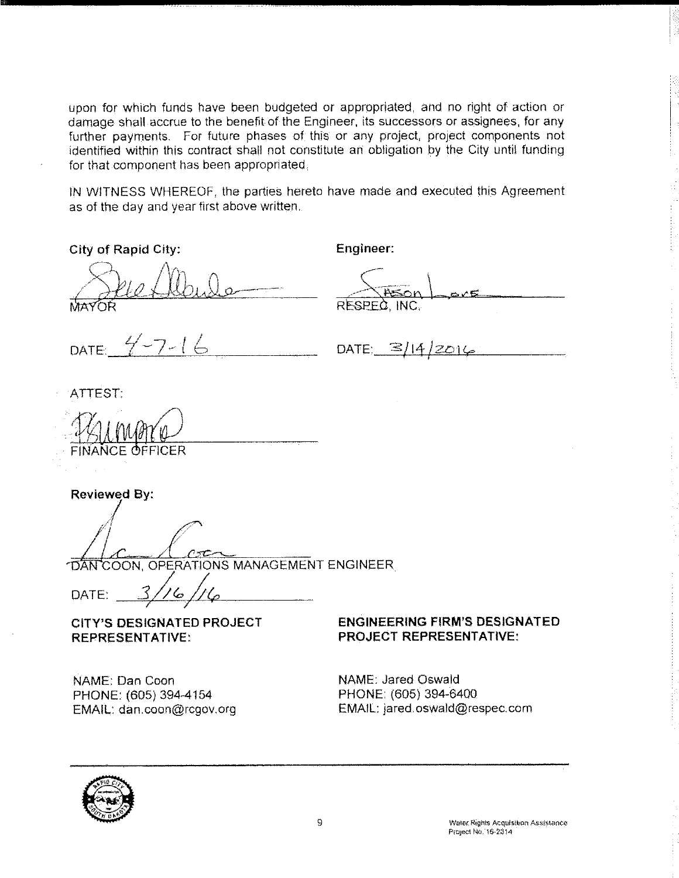upon for which funds have been budgeted or appropriated, and no right of action or damage shall accrue to the benefit of the Engineer, its successors or assignees, for any further payments, For future phases of this or any project, project components not identified within this contract shall not constitute an obligation by the City until funding for that component has been appropriated,

JN WITNESS WHEREOF, the parties hereto have made and executed this Agreement as of the day and year first above written,

Engineer:

**City of Rapid City:** 

RESPEC, INC.

DATE  $4 - 7 - 16$ 

DATE:  $\mathbb{E}/\sqrt{4}$  $2010$ 

ATTEST:

FINANCE

Reviewed By:

*,(*  ~/ DAN COON, OPERATIONS MANAGEMENT ENGINEER

DATE:

CITY'S DESIGNATED PROJECT REPRESENTATIVE:

NAME: Dan Coon PHONE: (605) 3944154 EMAIL: dan.coon@rcgov.org

## ENGINEERING FIRM'S DESIGNATED PROJECT REPRESENTATIVE:

NAME: Jared Oswald PHONE: (605) 394-6400 EMAIL: jared.oswald@respec.com



Water Rights Acquisition Assistance Project No. 16-2314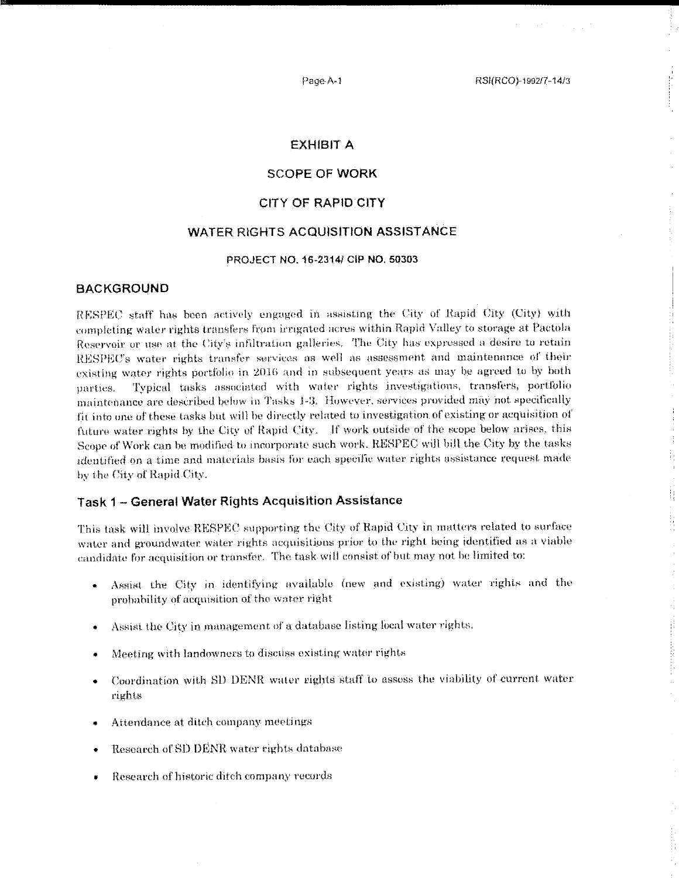Page A-1

**History** 

ij.

#### **EXHIBIT A**

#### **SCOPE OF WORK**

#### **CITY OF RAPID CITY**

#### WATER RIGHTS ACQUISITION ASSISTANCE

#### PROJECT NO. 16-2314/ CIP NO. 50303

#### **BACKGROUND**

RESPEC staff has been actively engaged in assisting the City of Rapid City (City) with completing water rights transfers from irrigated acres within Rapid Valley to storage at Pactola Reservoir or use at the City's infiltration galleries. The City has expressed a desire to retain RESPEC's water rights transfer services as well as assessment and maintenance of their existing water rights portfolio in 2016 and in subsequent years as may be agreed to by both Typical tasks associated with water rights investigations, transfers, portfolio parties. maintenance are described below in Tasks 1-3. However, services provided may not specifically fit into one of these tasks but will be directly related to investigation of existing or acquisition of future water rights by the City of Rapid City. If work outside of the scope below arises, this Scope of Work can be modified to incorporate such work. RESPEC will bill the City by the tasks identified on a time and materials basis for each specific water rights assistance request made by the City of Rapid City.

#### Task 1 – General Water Rights Acquisition Assistance

This task will involve RESPEC supporting the City of Rapid City in matters related to surface water and groundwater water rights acquisitions prior to the right being identified as a viable candidate for acquisition or transfer. The task will consist of but may not be limited to:

- Assist the City in identifying available (new and existing) water rights and the probability of acquisition of the water right
- Assist the City in management of a database listing local water rights.
- Meeting with landowners to discuss existing water rights
- Coordination with SD DENR water rights staff to assess the viability of current water rights
- Attendance at ditch company meetings
- Research of SD DENR water rights database
- Research of historic difch company records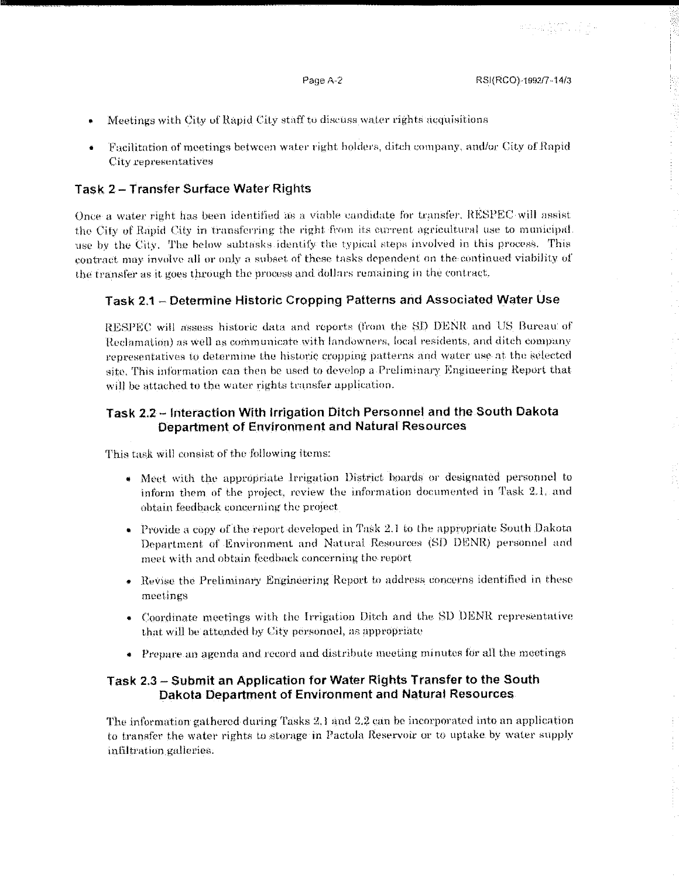- Meetings with City of Rapid City staff to discuss water rights acquisitions
- Facilitation of meetings between water right holders, ditch company, and/or City of Rapid City representatives

### Task 2 - Transfer Surface Water Rights

Once a water right has been identified as a viable candidate for transfer, RESPEC will assist the City of Rapid City in transferring the right from its current agricultural use to municipal use by the City. The below subtasks identify the typical steps involved in this process. This contract may involve all or only a subset of these tasks dependent on the continued viability of the transfer as it goes through the process and dollars remaining in the contract.

#### Task 2.1 – Determine Historic Cropping Patterns and Associated Water Use

RESPEC will assess historic data and reports (from the SD DENR and US Bureau of Reclamation) as well as communicate with landowners, local residents, and ditch company representatives to determine the historic cropping patterns and water use at the selected site. This information can then be used to develop a Preliminary Engineering Report that will be attached to the water rights transfer application.

## Task 2.2 - Interaction With Irrigation Ditch Personnel and the South Dakota **Department of Environment and Natural Resources**

This task will consist of the following items:

- Meet with the appropriate Irrigation District boards or designated personnel to inform them of the project, review the information documented in Task  $2.1$ , and obtain feedback concerning the project
- Provide a copy of the report developed in Task 2.1 to the appropriate South Dakota Department of Environment and Natural Resources (SD DENR) personnel and meet with and obtain feedback concerning the report
- Revise the Preliminary Engineering Report to address concerns identified in these meetings
- Coordinate meetings with the Irrigation Ditch and the SD DENR representative that will be attended by City personnel, as appropriate
- Prepare an agenda and record and distribute meeting minutes for all the meetings

### Task 2.3 - Submit an Application for Water Rights Transfer to the South **Dakota Department of Environment and Natural Resources**

The information gathered during Tasks 2,1 and 2.2 can be incorporated into an application to transfer the water rights to storage in Pactola Reservoir or to uptake by water supply infiltration galleries.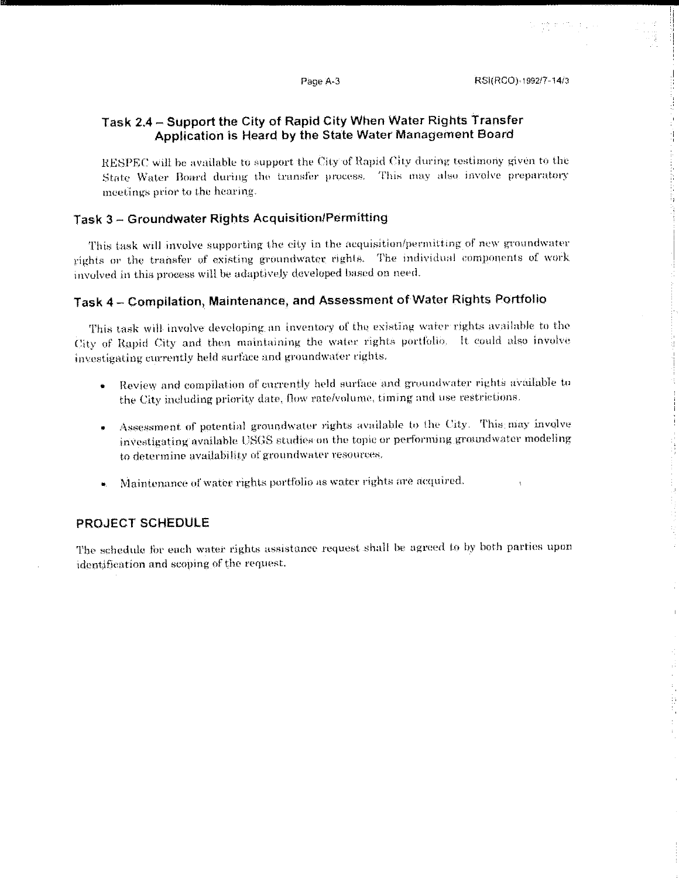## Task 2.4 – Support the City of Rapid City When Water Rights Transfer Application is Heard by the State Water Management Board

RESPEC will be available to support the City of Rapid City during testimony given to the State Water Board during the transfer process. This may also involve preparatory meetings prior to the hearing.

## Task 3 - Groundwater Rights Acquisition/Permitting

This task will involve supporting the city in the acquisition/permitting of new groundwater rights or the transfer of existing groundwater rights. The individual components of work involved in this process will be adaptively developed based on need.

## Task 4 - Compilation, Maintenance, and Assessment of Water Rights Portfolio

This task will involve developing an inventory of the existing water rights available to the City of Rapid City and then maintaining the water rights portfolio. It could also involve investigating currently held surface and groundwater rights.

- Review and compilation of currently held surface and groundwater rights available to  $\bullet$ the City including priority date, flow rate/volume, timing and use restrictions.
- Assessment of potential groundwater rights available to the City. This may involve investigating available USGS studies on the topic or performing groundwater modeling to determine availability of groundwater resources.
- Maintenance of water rights portfolio as water rights are acquired.

#### **PROJECT SCHEDULE**

The schedule for each water rights assistance request shall be agreed to by both parties upon identification and scoping of the request.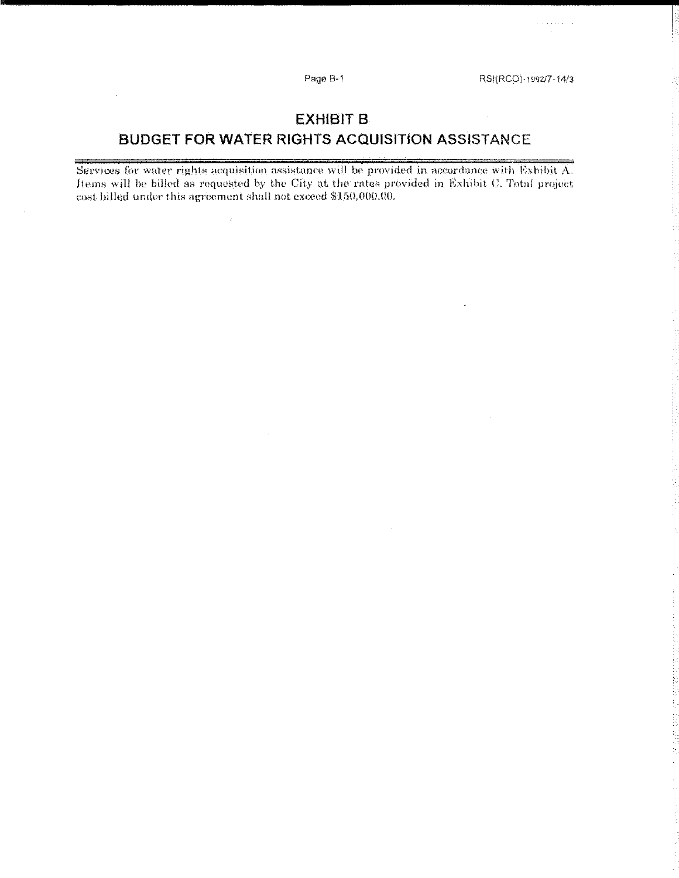Page B-1

RSI(RCO)-1992/7-14/3

 $\mathbb{R}^2$ 

 $\alpha$  -paper of  $\alpha$ 

÷

# **EXHIBIT B**

# **BUDGET FOR WATER RIGHTS ACQUISITION ASSISTANCE**

Services for water rights acquisition assistance will be provided in accordance with Exhibit A. Items will be billed as requested by the City at the rates provided in Exhibit C. Total project cost billed under this agreement shall not exceed \$150,000.00.

 $\bar{z}$ 

 $\hat{L}$ 

 $\hat{\boldsymbol{\gamma}}$